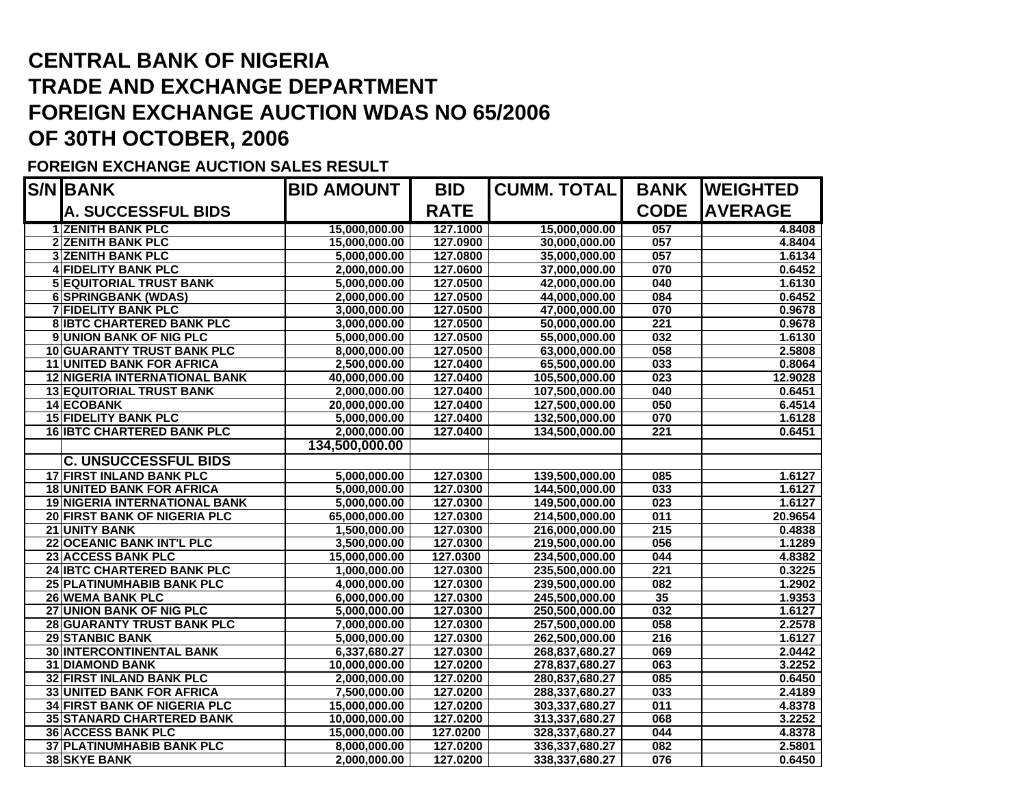## **CENTRAL BANK OF NIGERIA TRADE AND EXCHANGE DEPARTMENT FOREIGN EXCHANGE AUCTION WDAS NO 65/2006 OF 30TH OCTOBER, 2006**

## **FOREIGN EXCHANGE AUCTION SALES RESULT**

| <b>S/N BANK</b>                      | <b>BID AMOUNT</b> | <b>BID</b>  | <b>CUMM. TOTAL</b> | <b>BANK</b>      | <b>WEIGHTED</b> |
|--------------------------------------|-------------------|-------------|--------------------|------------------|-----------------|
| <b>A. SUCCESSFUL BIDS</b>            |                   | <b>RATE</b> |                    | <b>CODE</b>      | <b>AVERAGE</b>  |
| <b>1 ZENITH BANK PLC</b>             | 15,000,000.00     | 127.1000    | 15,000,000.00      | 057              | 4.8408          |
| <b>2 ZENITH BANK PLC</b>             | 15,000,000.00     | 127.0900    | 30,000,000.00      | 057              | 4.8404          |
| <b>3 ZENITH BANK PLC</b>             | 5,000,000.00      | 127.0800    | 35,000,000.00      | 057              | 1.6134          |
| <b>4 FIDELITY BANK PLC</b>           | 2,000,000.00      | 127.0600    | 37,000,000.00      | 070              | 0.6452          |
| <b>5 EQUITORIAL TRUST BANK</b>       | 5,000,000.00      | 127.0500    | 42,000,000.00      | 040              | 1.6130          |
| 6 SPRINGBANK (WDAS)                  | 2,000,000.00      | 127.0500    | 44,000,000.00      | 084              | 0.6452          |
| <b>7 FIDELITY BANK PLC</b>           | 3,000,000.00      | 127.0500    | 47,000,000.00      | 070              | 0.9678          |
| <b>8 IBTC CHARTERED BANK PLC</b>     | 3,000,000.00      | 127.0500    | 50,000,000.00      | 221              | 0.9678          |
| <b>9 UNION BANK OF NIG PLC</b>       | 5,000,000.00      | 127.0500    | 55,000,000.00      | 032              | 1.6130          |
| <b>10 GUARANTY TRUST BANK PLC</b>    | 8,000,000.00      | 127.0500    | 63,000,000.00      | 058              | 2.5808          |
| <b>11 UNITED BANK FOR AFRICA</b>     | 2,500,000.00      | 127.0400    | 65,500,000.00      | 033              | 0.8064          |
| <b>12 NIGERIA INTERNATIONAL BANK</b> | 40,000,000.00     | 127.0400    | 105,500,000.00     | 023              | 12.9028         |
| <b>13 EQUITORIAL TRUST BANK</b>      | 2,000,000.00      | 127.0400    | 107,500,000.00     | 040              | 0.6451          |
| <b>14 ECOBANK</b>                    | 20,000,000.00     | 127.0400    | 127,500,000.00     | 050              | 6.4514          |
| <b>15 FIDELITY BANK PLC</b>          | 5,000,000.00      | 127.0400    | 132,500,000.00     | 070              | 1.6128          |
| <b>16 IBTC CHARTERED BANK PLC</b>    | 2,000,000.00      | 127.0400    | 134,500,000.00     | 221              | 0.6451          |
|                                      | 134,500,000.00    |             |                    |                  |                 |
| <b>C. UNSUCCESSFUL BIDS</b>          |                   |             |                    |                  |                 |
| <b>17 FIRST INLAND BANK PLC</b>      | 5,000,000.00      | 127.0300    | 139,500,000.00     | 085              | 1.6127          |
| <b>18 UNITED BANK FOR AFRICA</b>     | 5,000,000.00      | 127.0300    | 144,500,000.00     | 033              | 1.6127          |
| <b>19 NIGERIA INTERNATIONAL BANK</b> | 5,000,000.00      | 127.0300    | 149,500,000.00     | 023              | 1.6127          |
| 20 FIRST BANK OF NIGERIA PLC         | 65,000,000.00     | 127.0300    | 214,500,000.00     | 011              | 20.9654         |
| 21 UNITY BANK                        | 1,500,000.00      | 127.0300    | 216,000,000.00     | 215              | 0.4838          |
| <b>22 OCEANIC BANK INT'L PLC</b>     | 3,500,000.00      | 127.0300    | 219,500,000.00     | 056              | 1.1289          |
| 23 ACCESS BANK PLC                   | 15,000,000.00     | 127.0300    | 234,500,000.00     | 044              | 4.8382          |
| 24 IBTC CHARTERED BANK PLC           | 1,000,000.00      | 127.0300    | 235,500,000.00     | 221              | 0.3225          |
| 25 PLATINUMHABIB BANK PLC            | 4,000,000.00      | 127.0300    | 239,500,000.00     | 082              | 1.2902          |
| <b>26 WEMA BANK PLC</b>              | 6,000,000.00      | 127.0300    | 245,500,000.00     | 35               | 1.9353          |
| 27 UNION BANK OF NIG PLC             | 5,000,000.00      | 127.0300    | 250,500,000.00     | 032              | 1.6127          |
| 28 GUARANTY TRUST BANK PLC           | 7,000,000.00      | 127.0300    | 257,500,000.00     | 058              | 2.2578          |
| <b>29 STANBIC BANK</b>               | 5,000,000.00      | 127.0300    | 262,500,000.00     | $\overline{216}$ | 1.6127          |
| <b>30 INTERCONTINENTAL BANK</b>      | 6,337,680.27      | 127.0300    | 268,837,680.27     | 069              | 2.0442          |
| <b>31 DIAMOND BANK</b>               | 10,000,000.00     | 127.0200    | 278,837,680.27     | 063              | 3.2252          |
| <b>32 FIRST INLAND BANK PLC</b>      | 2,000,000.00      | 127.0200    | 280,837,680.27     | 085              | 0.6450          |
| <b>33 UNITED BANK FOR AFRICA</b>     | 7,500,000.00      | 127.0200    | 288,337,680.27     | 033              | 2.4189          |
| <b>34 FIRST BANK OF NIGERIA PLC</b>  | 15,000,000.00     | 127.0200    | 303,337,680.27     | 011              | 4.8378          |
| <b>35 STANARD CHARTERED BANK</b>     | 10,000,000.00     | 127.0200    | 313,337,680.27     | 068              | 3.2252          |
| <b>36 ACCESS BANK PLC</b>            | 15,000,000.00     | 127.0200    | 328,337,680.27     | 044              | 4.8378          |
| 37 PLATINUMHABIB BANK PLC            | 8,000,000.00      | 127.0200    | 336,337,680.27     | 082              | 2.5801          |
| <b>38 SKYE BANK</b>                  | 2,000,000.00      | 127.0200    | 338,337,680.27     | 076              | 0.6450          |